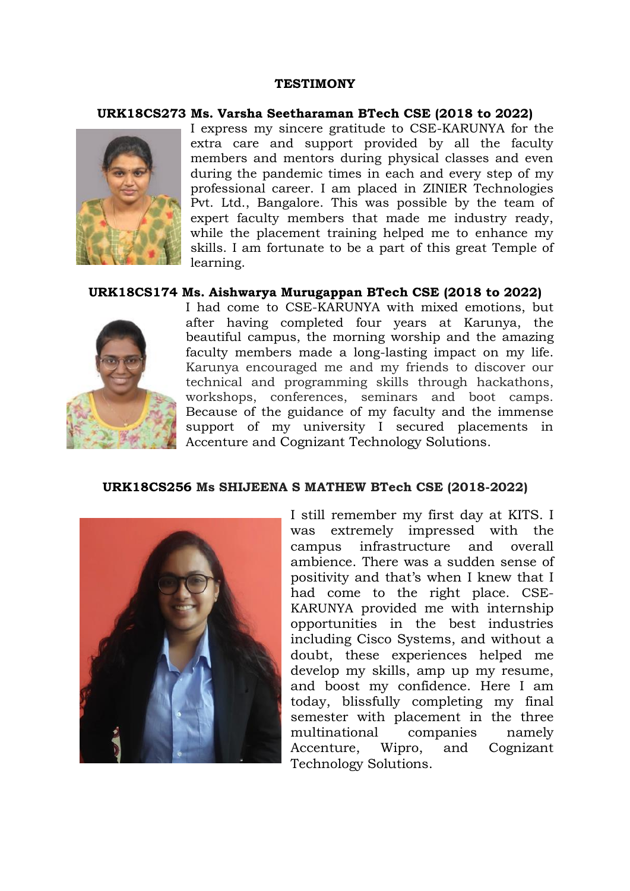### **TESTIMONY**

### **URK18CS273 Ms. Varsha Seetharaman BTech CSE (2018 to 2022)**



I express my sincere gratitude to CSE-KARUNYA for the extra care and support provided by all the faculty members and mentors during physical classes and even during the pandemic times in each and every step of my professional career. I am placed in ZINIER Technologies Pvt. Ltd., Bangalore. This was possible by the team of expert faculty members that made me industry ready, while the placement training helped me to enhance my skills. I am fortunate to be a part of this great Temple of learning.

### **URK18CS174 Ms. Aishwarya Murugappan BTech CSE (2018 to 2022)**



I had come to CSE-KARUNYA with mixed emotions, but after having completed four years at Karunya, the beautiful campus, the morning worship and the amazing faculty members made a long-lasting impact on my life. Karunya encouraged me and my friends to discover our technical and programming skills through hackathons, workshops, conferences, seminars and boot camps. Because of the guidance of my faculty and the immense support of my university I secured placements in Accenture and Cognizant Technology Solutions.

#### **URK18CS256 Ms SHIJEENA S MATHEW BTech CSE (2018-2022)**



I still remember my first day at KITS. I was extremely impressed with the campus infrastructure and overall ambience. There was a sudden sense of positivity and that's when I knew that I had come to the right place. CSE-KARUNYA provided me with internship opportunities in the best industries including Cisco Systems, and without a doubt, these experiences helped me develop my skills, amp up my resume, and boost my confidence. Here I am today, blissfully completing my final semester with placement in the three multinational companies namely Accenture, Wipro, and Cognizant Technology Solutions.